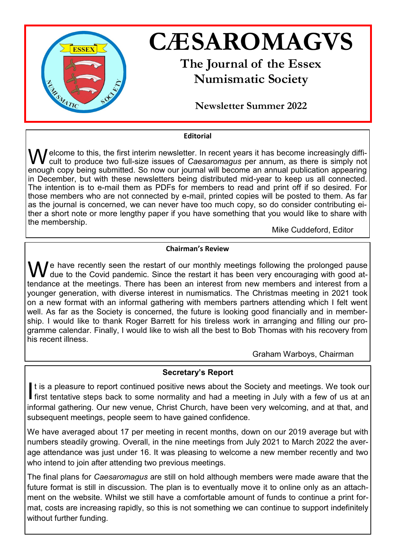

## **Editorial**

 $\int$ elcome to this, the first interim newsletter. In recent years it has become increasingly difficult to produce two full-size issues of *Caesaromagus* per annum, as there is simply not enough copy being submitted. So now our journal will become an annual publication appearing in December, but with these newsletters being distributed mid-year to keep us all connected. The intention is to e-mail them as PDFs for members to read and print off if so desired. For those members who are not connected by e-mail, printed copies will be posted to them. As far as the journal is concerned, we can never have too much copy, so do consider contributing either a short note or more lengthy paper if you have something that you would like to share with the membership.

Mike Cuddeford, Editor

## **Chairman's Review**

 $\bigvee$  e have recently seen the restart of our monthly meetings following the prolonged pause due to the Covid pandemic. Since the restart it has been very encouraging with good attendance at the meetings. There has been an interest from new members and interest from a younger generation, with diverse interest in numismatics. The Christmas meeting in 2021 took on a new format with an informal gathering with members partners attending which I felt went well. As far as the Society is concerned, the future is looking good financially and in membership. I would like to thank Roger Barrett for his tireless work in arranging and filling our programme calendar. Finally, I would like to wish all the best to Bob Thomas with his recovery from his recent illness.

Graham Warboys, Chairman

## **Secretary's Report**

It is a pleasure to report continued positive news about the Society and meetings. We took our<br>first tentative steps back to some normality and had a meeting in July with a few of us at an It is a pleasure to report continued positive news about the Society and meetings. We took our informal gathering. Our new venue, Christ Church, have been very welcoming, and at that, and subsequent meetings, people seem to have gained confidence.

We have averaged about 17 per meeting in recent months, down on our 2019 average but with numbers steadily growing. Overall, in the nine meetings from July 2021 to March 2022 the average attendance was just under 16. It was pleasing to welcome a new member recently and two who intend to join after attending two previous meetings.

The final plans for *Caesaromagus* are still on hold although members were made aware that the future format is still in discussion. The plan is to eventually move it to online only as an attachment on the website. Whilst we still have a comfortable amount of funds to continue a print format, costs are increasing rapidly, so this is not something we can continue to support indefinitely without further funding.